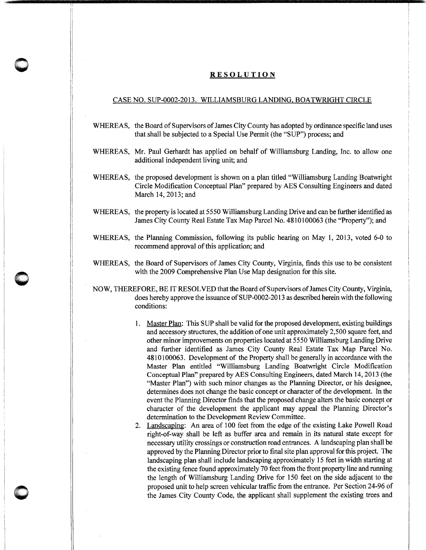## **RESOLUTION**

"

**0** -

**0** '

## CASE NO. SUP-0002-2013. WILLIAMSBURG LANDING, BOATWRIGHT CIRCLE

- WHEREAS, the Board of Supervisors of James City County has adopted by ordinance specific land uses that shall be subjected to a Special Use Permit (the "SUP") process; and
- WHEREAS, Mr. Paul Gerhardt has applied on behalf of Williamsburg Landing, Inc. to allow one additional independent living unit; and
- WHEREAS, the proposed development is shown on a plan titled "Williamsburg Landing Boatwright Circle Modification Conceptual Plan" prepared by AES Consulting Engineers and dated March 14, 2013; and
- WHEREAS, the property is located at 5550 Williamsburg Landing Drive and can be further identified as James City County Real Estate Tax Map Parcel No. 4810100063 (the "Property"); and
- WHEREAS, the Planning Commission, following its public hearing on May 1, 2013, voted 6-0 to recommend approval of this application; and
- WHEREAS, the Board of Supervisors of James City County, Virginia, finds this use to be consistent with the 2009 Comprehensive Plan Use Map designation for this site.
- NOW, THEREFORE, BE IT RESOLVED that the Board of Supervisors of James City County, Virginia, does hereby approve the issuance of SUP-0002-2013 as described herein with the following conditions:
	- 1. Master Plan: This SUP shall be valid for the proposed development, existing buildings and accessory structures, the addition of one unit approximately 2,500 square feet, and other minor improvements on properties located at 5550 Williamsburg Landing Drive and further identified as James City County Real Estate Tax Map Parcel No. 4810100063. Development of the Property shall be generally in accordance with the Master Plan entitled "Williamsburg Landing Boatwright Circle Modification Conceptual Plan" prepared by AES Consulting Engineers, dated March 14, 2013 (the "Master Plan") with such minor changes as the Planning Director, or his designee, determines does not change the basic concept or character of the development. In the event the Planning Director finds that the proposed change alters the basic concept or character of the development the applicant may appeal the Planning Director's determination to the Development Review Committee.
	- 2. Landscaping: An area of 100 feet from the edge of the existing Lake Powell Road right-of-way shall be left as buffer area and remain in its natural state except for necessary utility crossings or construction road entrances. A landscaping plan shall be approved by the Planning Director prior to final site plan approval for this project. The landscaping plan shall include landscaping approximately 15 feet in width starting at the existing fence found approximately 70 feet from the front property line and running the length of Williamsburg Landing Drive for 150 feet on the side adjacent to the proposed unit to help screen vehicular traffic from the entrance. Per Section 24-96 of the James City County Code, the applicant shall supplement the existing trees and